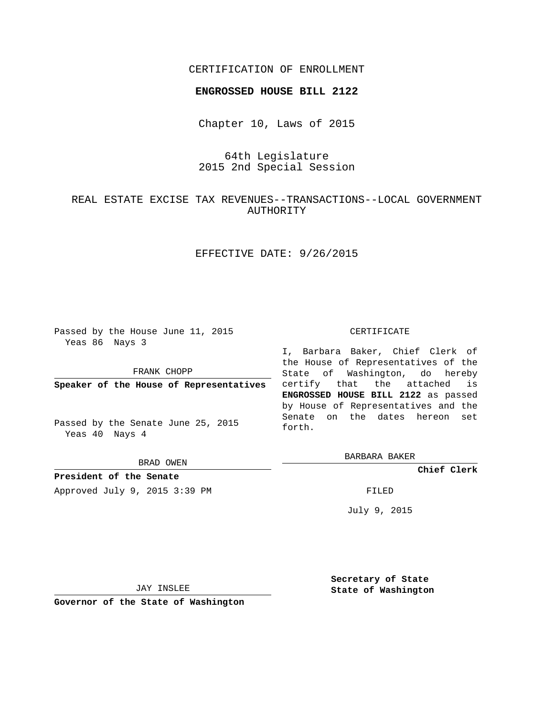## CERTIFICATION OF ENROLLMENT

### **ENGROSSED HOUSE BILL 2122**

Chapter 10, Laws of 2015

64th Legislature 2015 2nd Special Session

# REAL ESTATE EXCISE TAX REVENUES--TRANSACTIONS--LOCAL GOVERNMENT AUTHORITY

## EFFECTIVE DATE: 9/26/2015

Passed by the House June 11, 2015 Yeas 86 Nays 3

FRANK CHOPP

**Speaker of the House of Representatives**

Passed by the Senate June 25, 2015 Yeas 40 Nays 4

BRAD OWEN

**President of the Senate** Approved July 9, 2015 3:39 PM FILED

### CERTIFICATE

I, Barbara Baker, Chief Clerk of the House of Representatives of the State of Washington, do hereby certify that the attached is **ENGROSSED HOUSE BILL 2122** as passed by House of Representatives and the Senate on the dates hereon set forth.

BARBARA BAKER

**Chief Clerk**

July 9, 2015

JAY INSLEE

**Governor of the State of Washington**

**Secretary of State State of Washington**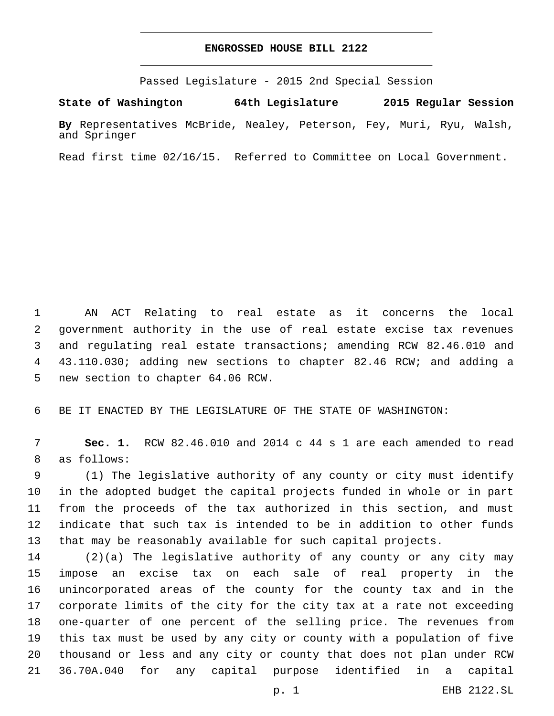### **ENGROSSED HOUSE BILL 2122**

Passed Legislature - 2015 2nd Special Session

**State of Washington 64th Legislature 2015 Regular Session**

**By** Representatives McBride, Nealey, Peterson, Fey, Muri, Ryu, Walsh, and Springer

Read first time 02/16/15. Referred to Committee on Local Government.

 AN ACT Relating to real estate as it concerns the local government authority in the use of real estate excise tax revenues and regulating real estate transactions; amending RCW 82.46.010 and 43.110.030; adding new sections to chapter 82.46 RCW; and adding a 5 new section to chapter 64.06 RCW.

BE IT ENACTED BY THE LEGISLATURE OF THE STATE OF WASHINGTON:

 **Sec. 1.** RCW 82.46.010 and 2014 c 44 s 1 are each amended to read 8 as follows:

 (1) The legislative authority of any county or city must identify in the adopted budget the capital projects funded in whole or in part from the proceeds of the tax authorized in this section, and must indicate that such tax is intended to be in addition to other funds that may be reasonably available for such capital projects.

 (2)(a) The legislative authority of any county or any city may impose an excise tax on each sale of real property in the unincorporated areas of the county for the county tax and in the corporate limits of the city for the city tax at a rate not exceeding one-quarter of one percent of the selling price. The revenues from this tax must be used by any city or county with a population of five thousand or less and any city or county that does not plan under RCW 36.70A.040 for any capital purpose identified in a capital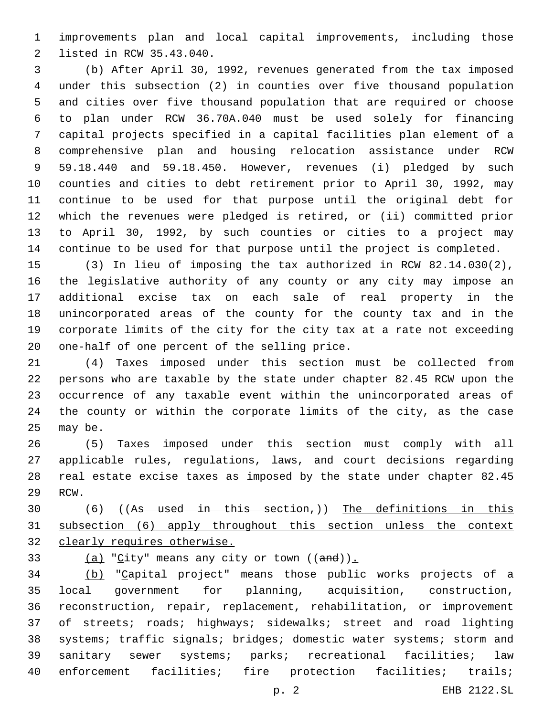improvements plan and local capital improvements, including those 2 listed in RCW 35.43.040.

 (b) After April 30, 1992, revenues generated from the tax imposed under this subsection (2) in counties over five thousand population and cities over five thousand population that are required or choose to plan under RCW 36.70A.040 must be used solely for financing capital projects specified in a capital facilities plan element of a comprehensive plan and housing relocation assistance under RCW 59.18.440 and 59.18.450. However, revenues (i) pledged by such counties and cities to debt retirement prior to April 30, 1992, may continue to be used for that purpose until the original debt for which the revenues were pledged is retired, or (ii) committed prior to April 30, 1992, by such counties or cities to a project may continue to be used for that purpose until the project is completed.

 (3) In lieu of imposing the tax authorized in RCW 82.14.030(2), the legislative authority of any county or any city may impose an additional excise tax on each sale of real property in the unincorporated areas of the county for the county tax and in the corporate limits of the city for the city tax at a rate not exceeding 20 one-half of one percent of the selling price.

 (4) Taxes imposed under this section must be collected from persons who are taxable by the state under chapter 82.45 RCW upon the occurrence of any taxable event within the unincorporated areas of the county or within the corporate limits of the city, as the case 25 may be.

 (5) Taxes imposed under this section must comply with all applicable rules, regulations, laws, and court decisions regarding real estate excise taxes as imposed by the state under chapter 82.45 29 RCW.

 (6) ((As used in this section,)) The definitions in this subsection (6) apply throughout this section unless the context clearly requires otherwise.

33  $(a)$  "City" means any city or town  $((and))$ .

 (b) "Capital project" means those public works projects of a local government for planning, acquisition, construction, reconstruction, repair, replacement, rehabilitation, or improvement of streets; roads; highways; sidewalks; street and road lighting systems; traffic signals; bridges; domestic water systems; storm and sanitary sewer systems; parks; recreational facilities; law enforcement facilities; fire protection facilities; trails;

p. 2 EHB 2122.SL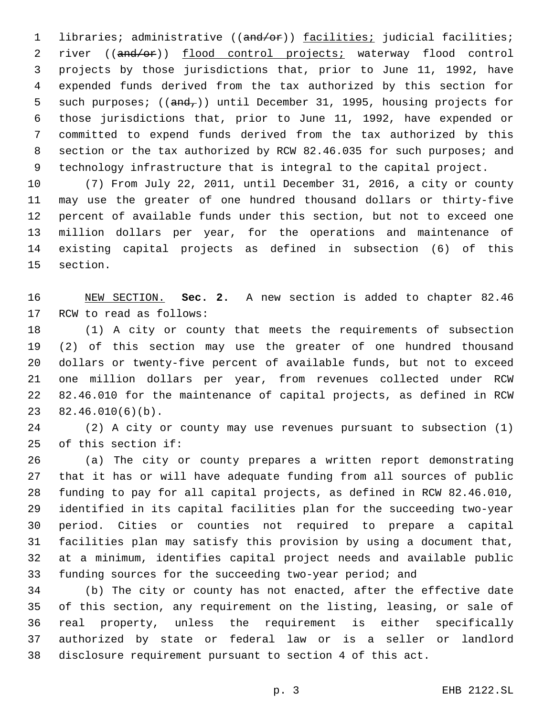1 libraries; administrative ((and/or)) facilities; judicial facilities; river ((and/or)) flood control projects; waterway flood control projects by those jurisdictions that, prior to June 11, 1992, have expended funds derived from the tax authorized by this section for 5 such purposes;  $((and<sub>r</sub>))$  until December 31, 1995, housing projects for those jurisdictions that, prior to June 11, 1992, have expended or committed to expend funds derived from the tax authorized by this 8 section or the tax authorized by RCW 82.46.035 for such purposes; and technology infrastructure that is integral to the capital project.

 (7) From July 22, 2011, until December 31, 2016, a city or county may use the greater of one hundred thousand dollars or thirty-five percent of available funds under this section, but not to exceed one million dollars per year, for the operations and maintenance of existing capital projects as defined in subsection (6) of this 15 section.

 NEW SECTION. **Sec. 2.** A new section is added to chapter 82.46 17 RCW to read as follows:

 (1) A city or county that meets the requirements of subsection (2) of this section may use the greater of one hundred thousand dollars or twenty-five percent of available funds, but not to exceed one million dollars per year, from revenues collected under RCW 82.46.010 for the maintenance of capital projects, as defined in RCW  $82.46.010(6)(b)$ .

 (2) A city or county may use revenues pursuant to subsection (1) 25 of this section if:

 (a) The city or county prepares a written report demonstrating that it has or will have adequate funding from all sources of public funding to pay for all capital projects, as defined in RCW 82.46.010, identified in its capital facilities plan for the succeeding two-year period. Cities or counties not required to prepare a capital facilities plan may satisfy this provision by using a document that, at a minimum, identifies capital project needs and available public funding sources for the succeeding two-year period; and

 (b) The city or county has not enacted, after the effective date of this section, any requirement on the listing, leasing, or sale of real property, unless the requirement is either specifically authorized by state or federal law or is a seller or landlord disclosure requirement pursuant to section 4 of this act.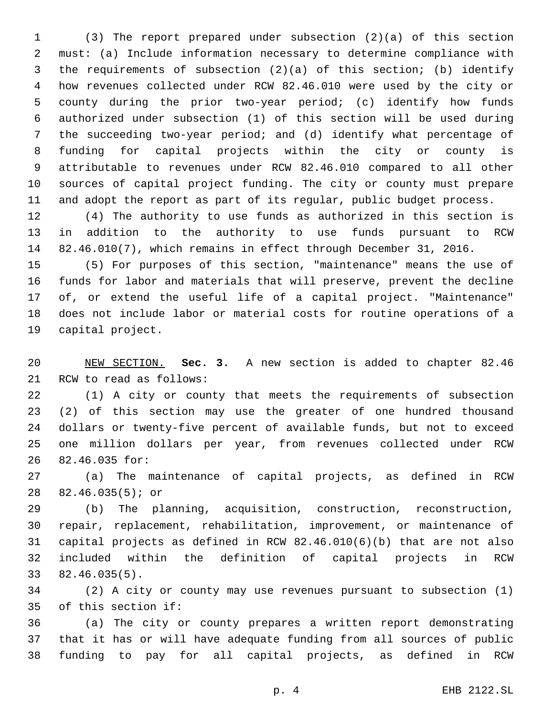(3) The report prepared under subsection (2)(a) of this section must: (a) Include information necessary to determine compliance with the requirements of subsection (2)(a) of this section; (b) identify how revenues collected under RCW 82.46.010 were used by the city or county during the prior two-year period; (c) identify how funds authorized under subsection (1) of this section will be used during the succeeding two-year period; and (d) identify what percentage of funding for capital projects within the city or county is attributable to revenues under RCW 82.46.010 compared to all other sources of capital project funding. The city or county must prepare and adopt the report as part of its regular, public budget process.

 (4) The authority to use funds as authorized in this section is in addition to the authority to use funds pursuant to RCW 82.46.010(7), which remains in effect through December 31, 2016.

 (5) For purposes of this section, "maintenance" means the use of funds for labor and materials that will preserve, prevent the decline of, or extend the useful life of a capital project. "Maintenance" does not include labor or material costs for routine operations of a 19 capital project.

 NEW SECTION. **Sec. 3.** A new section is added to chapter 82.46 21 RCW to read as follows:

 (1) A city or county that meets the requirements of subsection (2) of this section may use the greater of one hundred thousand dollars or twenty-five percent of available funds, but not to exceed one million dollars per year, from revenues collected under RCW 26 82.46.035 for:

 (a) The maintenance of capital projects, as defined in RCW 82.46.035(5); or28

 (b) The planning, acquisition, construction, reconstruction, repair, replacement, rehabilitation, improvement, or maintenance of capital projects as defined in RCW 82.46.010(6)(b) that are not also included within the definition of capital projects in RCW 82.46.035(5).33

 (2) A city or county may use revenues pursuant to subsection (1) 35 of this section if:

 (a) The city or county prepares a written report demonstrating that it has or will have adequate funding from all sources of public funding to pay for all capital projects, as defined in RCW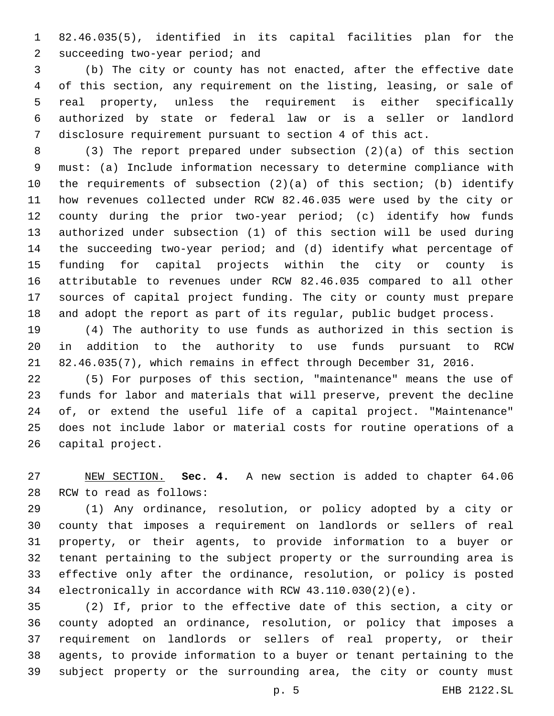82.46.035(5), identified in its capital facilities plan for the 2 succeeding two-year period; and

 (b) The city or county has not enacted, after the effective date of this section, any requirement on the listing, leasing, or sale of real property, unless the requirement is either specifically authorized by state or federal law or is a seller or landlord disclosure requirement pursuant to section 4 of this act.

 (3) The report prepared under subsection (2)(a) of this section must: (a) Include information necessary to determine compliance with the requirements of subsection (2)(a) of this section; (b) identify how revenues collected under RCW 82.46.035 were used by the city or county during the prior two-year period; (c) identify how funds authorized under subsection (1) of this section will be used during the succeeding two-year period; and (d) identify what percentage of funding for capital projects within the city or county is attributable to revenues under RCW 82.46.035 compared to all other sources of capital project funding. The city or county must prepare and adopt the report as part of its regular, public budget process.

 (4) The authority to use funds as authorized in this section is in addition to the authority to use funds pursuant to RCW 82.46.035(7), which remains in effect through December 31, 2016.

 (5) For purposes of this section, "maintenance" means the use of funds for labor and materials that will preserve, prevent the decline of, or extend the useful life of a capital project. "Maintenance" does not include labor or material costs for routine operations of a 26 capital project.

 NEW SECTION. **Sec. 4.** A new section is added to chapter 64.06 28 RCW to read as follows:

 (1) Any ordinance, resolution, or policy adopted by a city or county that imposes a requirement on landlords or sellers of real property, or their agents, to provide information to a buyer or tenant pertaining to the subject property or the surrounding area is effective only after the ordinance, resolution, or policy is posted electronically in accordance with RCW 43.110.030(2)(e).

 (2) If, prior to the effective date of this section, a city or county adopted an ordinance, resolution, or policy that imposes a requirement on landlords or sellers of real property, or their agents, to provide information to a buyer or tenant pertaining to the subject property or the surrounding area, the city or county must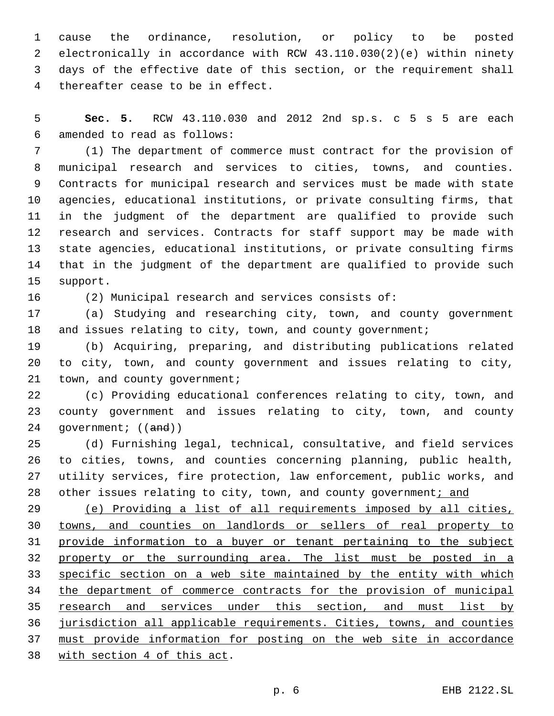cause the ordinance, resolution, or policy to be posted electronically in accordance with RCW 43.110.030(2)(e) within ninety days of the effective date of this section, or the requirement shall 4 thereafter cease to be in effect.

 **Sec. 5.** RCW 43.110.030 and 2012 2nd sp.s. c 5 s 5 are each amended to read as follows:6

 (1) The department of commerce must contract for the provision of municipal research and services to cities, towns, and counties. Contracts for municipal research and services must be made with state agencies, educational institutions, or private consulting firms, that in the judgment of the department are qualified to provide such research and services. Contracts for staff support may be made with state agencies, educational institutions, or private consulting firms that in the judgment of the department are qualified to provide such 15 support.

(2) Municipal research and services consists of:

 (a) Studying and researching city, town, and county government 18 and issues relating to city, town, and county government;

 (b) Acquiring, preparing, and distributing publications related to city, town, and county government and issues relating to city, 21 town, and county government;

 (c) Providing educational conferences relating to city, town, and county government and issues relating to city, town, and county 24 government; ((and))

 (d) Furnishing legal, technical, consultative, and field services to cities, towns, and counties concerning planning, public health, utility services, fire protection, law enforcement, public works, and 28 other issues relating to city, town, and county government; and

 (e) Providing a list of all requirements imposed by all cities, towns, and counties on landlords or sellers of real property to provide information to a buyer or tenant pertaining to the subject 32 property or the surrounding area. The list must be posted in a 33 specific section on a web site maintained by the entity with which 34 the department of commerce contracts for the provision of municipal 35 research and services under this section, and must list by jurisdiction all applicable requirements. Cities, towns, and counties must provide information for posting on the web site in accordance 38 with section 4 of this act.